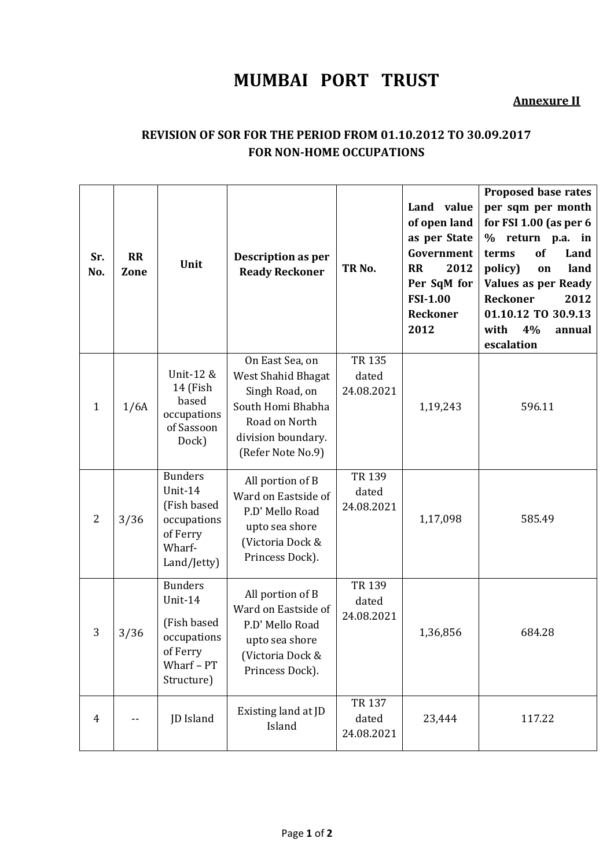## **MUMBAI PORT TRUST**

## **Annexure II**

## **REVISION OF SOR FOR THE PERIOD FROM 01.10.2012 TO 30.09.2017 FOR NON-HOME OCCUPATIONS**

| Sr.<br>No.     | <b>RR</b><br>Zone | Unit                                                                                            | Description as per<br><b>Ready Reckoner</b>                                                                                              | TR <sub>No.</sub>             | Land value<br>of open land<br>as per State<br>Government<br>2012<br><b>RR</b><br>Per SqM for<br><b>FSI-1.00</b><br>Reckoner<br>2012 | <b>Proposed base rates</b><br>per sqm per month<br>for FSI 1.00 (as per $6$<br>% return p.a. in<br>of<br>terms<br>Land<br>policy)<br>land<br>on<br><b>Values as per Ready</b><br>Reckoner<br>2012<br>01.10.12 TO 30.9.13<br>4%<br>with<br>annual<br>escalation |
|----------------|-------------------|-------------------------------------------------------------------------------------------------|------------------------------------------------------------------------------------------------------------------------------------------|-------------------------------|-------------------------------------------------------------------------------------------------------------------------------------|----------------------------------------------------------------------------------------------------------------------------------------------------------------------------------------------------------------------------------------------------------------|
| $\mathbf{1}$   | 1/6A              | Unit-12 &<br>14 (Fish<br>based<br>occupations<br>of Sassoon<br>Dock)                            | On East Sea, on<br>West Shahid Bhagat<br>Singh Road, on<br>South Homi Bhabha<br>Road on North<br>division boundary.<br>(Refer Note No.9) | TR 135<br>dated<br>24.08.2021 | 1,19,243                                                                                                                            | 596.11                                                                                                                                                                                                                                                         |
| $\overline{2}$ | 3/36              | <b>Bunders</b><br>Unit-14<br>(Fish based<br>occupations<br>of Ferry<br>Wharf-<br>Land/Jetty)    | All portion of B<br>Ward on Eastside of<br>P.D' Mello Road<br>upto sea shore<br>(Victoria Dock &<br>Princess Dock).                      | TR 139<br>dated<br>24.08.2021 | 1,17,098                                                                                                                            | 585.49                                                                                                                                                                                                                                                         |
| 3              | 3/36              | <b>Bunders</b><br>Unit-14<br>(Fish based<br>occupations<br>of Ferry<br>Wharf - PT<br>Structure) | All portion of B<br>Ward on Eastside of<br>P.D' Mello Road<br>upto sea shore<br>(Victoria Dock &<br>Princess Dock).                      | TR 139<br>dated<br>24.08.2021 | 1,36,856                                                                                                                            | 684.28                                                                                                                                                                                                                                                         |
| $\overline{4}$ |                   | JD Island                                                                                       | Existing land at JD<br>Island                                                                                                            | TR 137<br>dated<br>24.08.2021 | 23,444                                                                                                                              | 117.22                                                                                                                                                                                                                                                         |